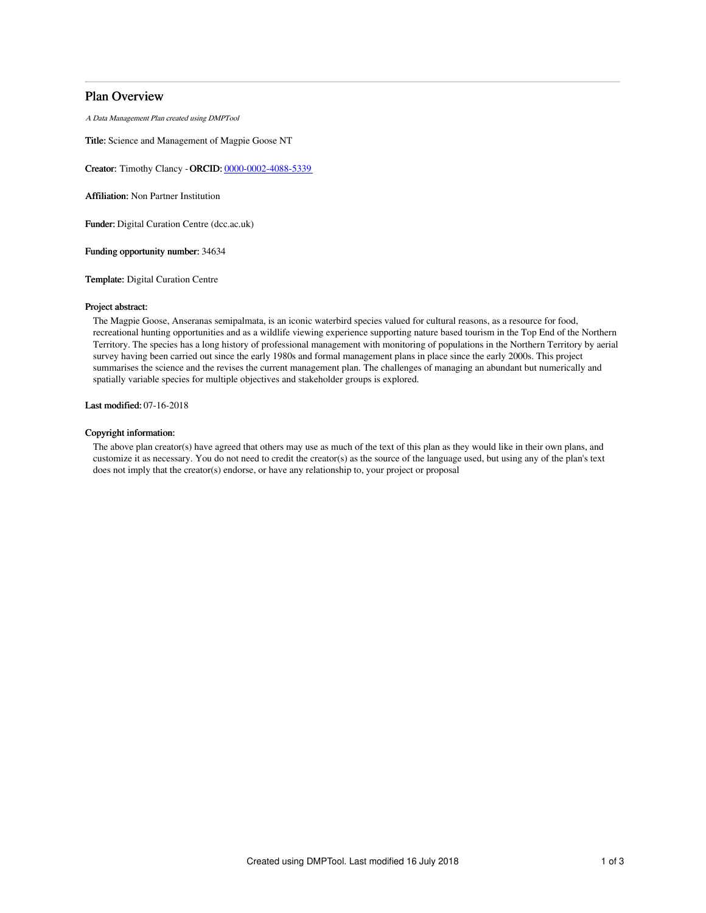# Plan Overview

A Data Management Plan created using DMPTool

Title: Science and Management of Magpie Goose NT

Creator: Timothy Clancy -ORCID: [0000-0002-4088-5339](https://orcid.org/0000-0002-4088-5339)

Affiliation: Non Partner Institution

Funder: Digital Curation Centre (dcc.ac.uk)

Funding opportunity number: 34634

Template: Digital Curation Centre

### Project abstract:

The Magpie Goose, Anseranas semipalmata, is an iconic waterbird species valued for cultural reasons, as a resource for food, recreational hunting opportunities and as a wildlife viewing experience supporting nature based tourism in the Top End of the Northern Territory. The species has a long history of professional management with monitoring of populations in the Northern Territory by aerial survey having been carried out since the early 1980s and formal management plans in place since the early 2000s. This project summarises the science and the revises the current management plan. The challenges of managing an abundant but numerically and spatially variable species for multiple objectives and stakeholder groups is explored.

Last modified: 07-16-2018

# Copyright information:

The above plan creator(s) have agreed that others may use as much of the text of this plan as they would like in their own plans, and customize it as necessary. You do not need to credit the creator(s) as the source of the language used, but using any of the plan's text does not imply that the creator(s) endorse, or have any relationship to, your project or proposal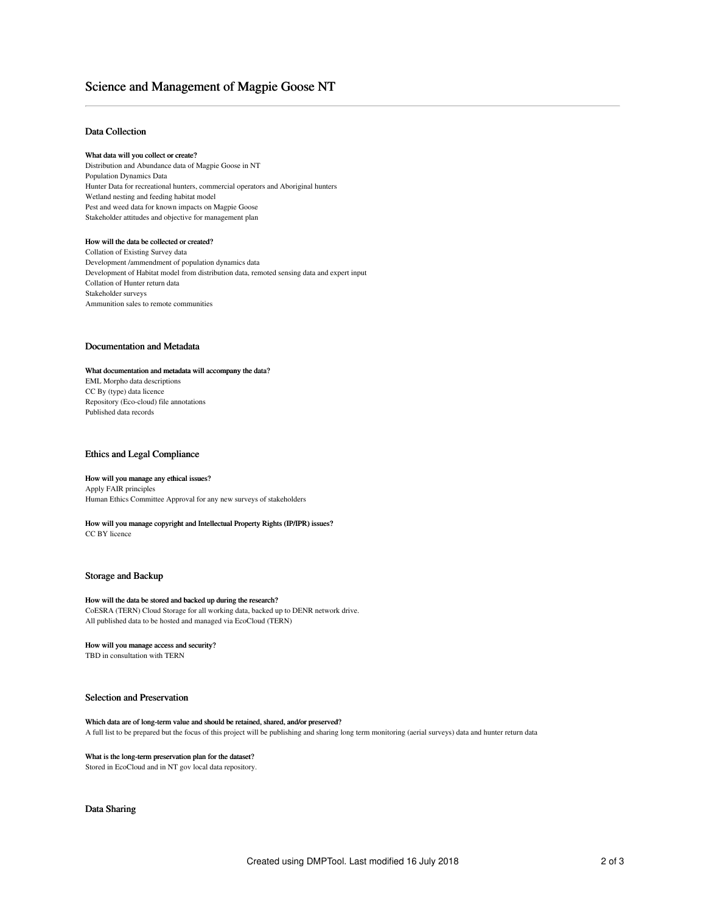# Science and Management of Magpie Goose NT

## Data Collection

#### What data will you collect or create?

Distribution and Abundance data of Magpie Goose in NT Population Dynamics Data Hunter Data for recreational hunters, commercial operators and Aboriginal hunters Wetland nesting and feeding habitat model Pest and weed data for known impacts on Magpie Goose Stakeholder attitudes and objective for management plan

## How will the data be collected or created?

Collation of Existing Survey data Development /ammendment of population dynamics data Development of Habitat model from distribution data, remoted sensing data and expert input Collation of Hunter return data Stakeholder surveys Ammunition sales to remote communities

### Documentation and Metadata

## What documentation and metadata will accompany the data? EML Morpho data descriptions

CC By (type) data licence Repository (Eco-cloud) file annotations Published data records

# Ethics and Legal Compliance

# How will you manage any ethical issues?

Apply FAIR principles Human Ethics Committee Approval for any new surveys of stakeholders

#### How will you manage copyright and Intellectual Property Rights (IP/IPR) issues? CC BY licence

### Storage and Backup

# How will the data be stored and backed up during the research?

CoESRA (TERN) Cloud Storage for all working data, backed up to DENR network drive. All published data to be hosted and managed via EcoCloud (TERN)

#### How will you manage access and security?

TBD in consultation with TERN

# Selection and Preservation

#### Which data are of long-term value and should be retained, shared, and/or preserved? A full list to be prepared but the focus of this project will be publishing and sharing long term monitoring (aerial surveys) data and hunter return data

#### What is the long-term preservation plan for the dataset?

Stored in EcoCloud and in NT gov local data repository.

## Data Sharing